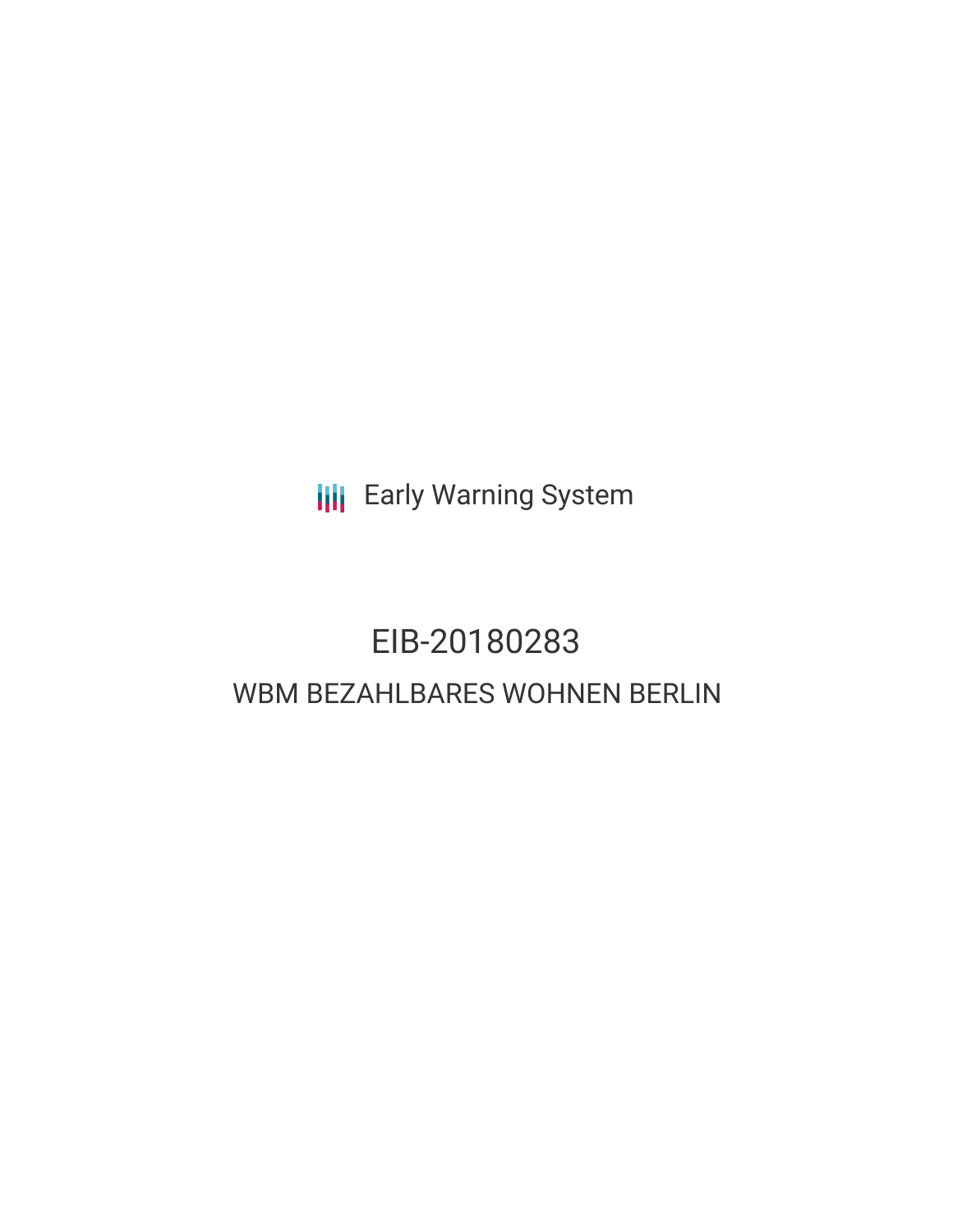**III** Early Warning System

# EIB-20180283 WBM BEZAHLBARES WOHNEN BERLIN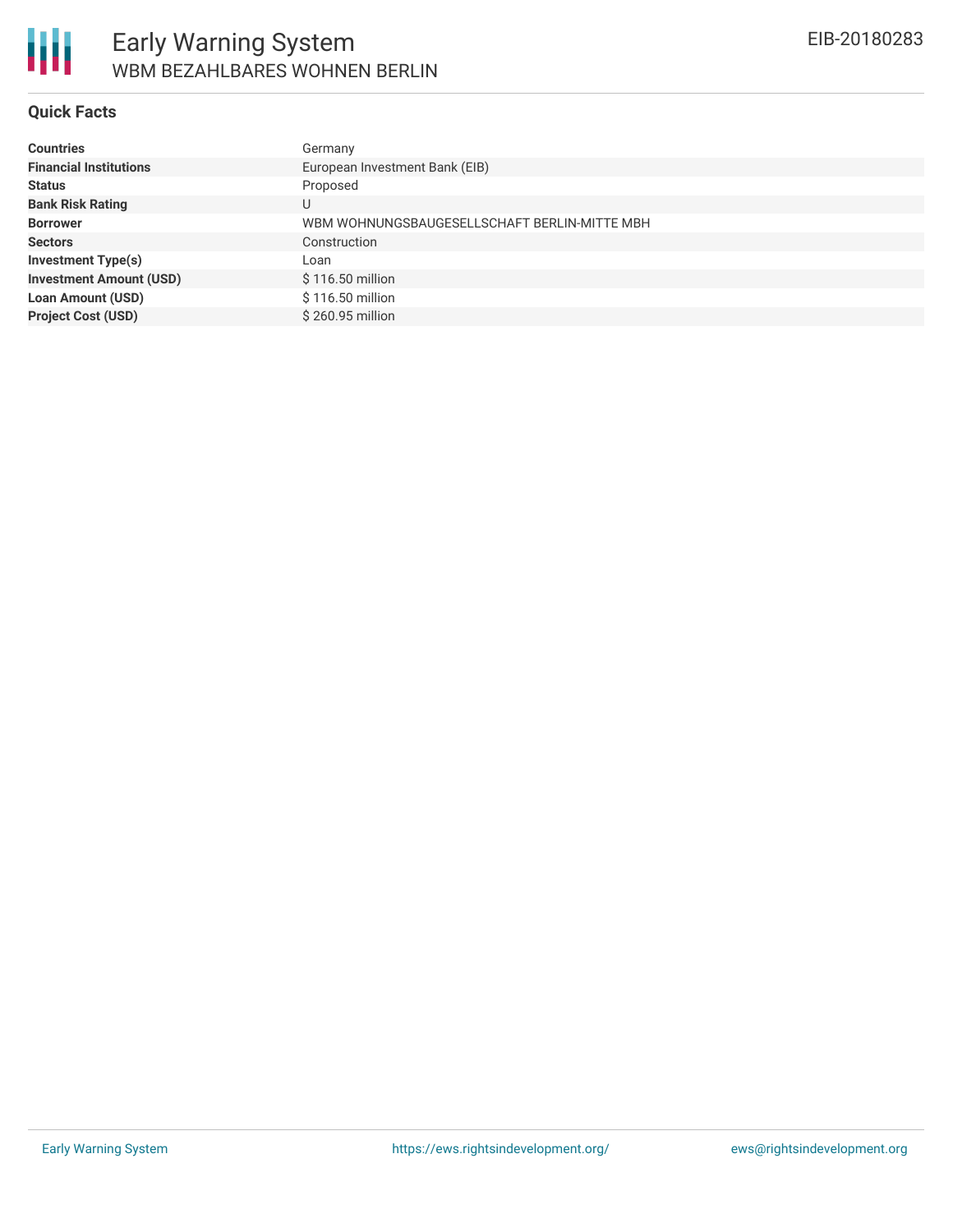

### **Quick Facts**

| <b>Countries</b>               | Germany                                      |
|--------------------------------|----------------------------------------------|
| <b>Financial Institutions</b>  | European Investment Bank (EIB)               |
| <b>Status</b>                  | Proposed                                     |
| <b>Bank Risk Rating</b>        |                                              |
| <b>Borrower</b>                | WBM WOHNUNGSBAUGESELLSCHAFT BERLIN-MITTE MBH |
| <b>Sectors</b>                 | Construction                                 |
| <b>Investment Type(s)</b>      | Loan                                         |
| <b>Investment Amount (USD)</b> | \$116.50 million                             |
| <b>Loan Amount (USD)</b>       | \$116.50 million                             |
| <b>Project Cost (USD)</b>      | \$260.95 million                             |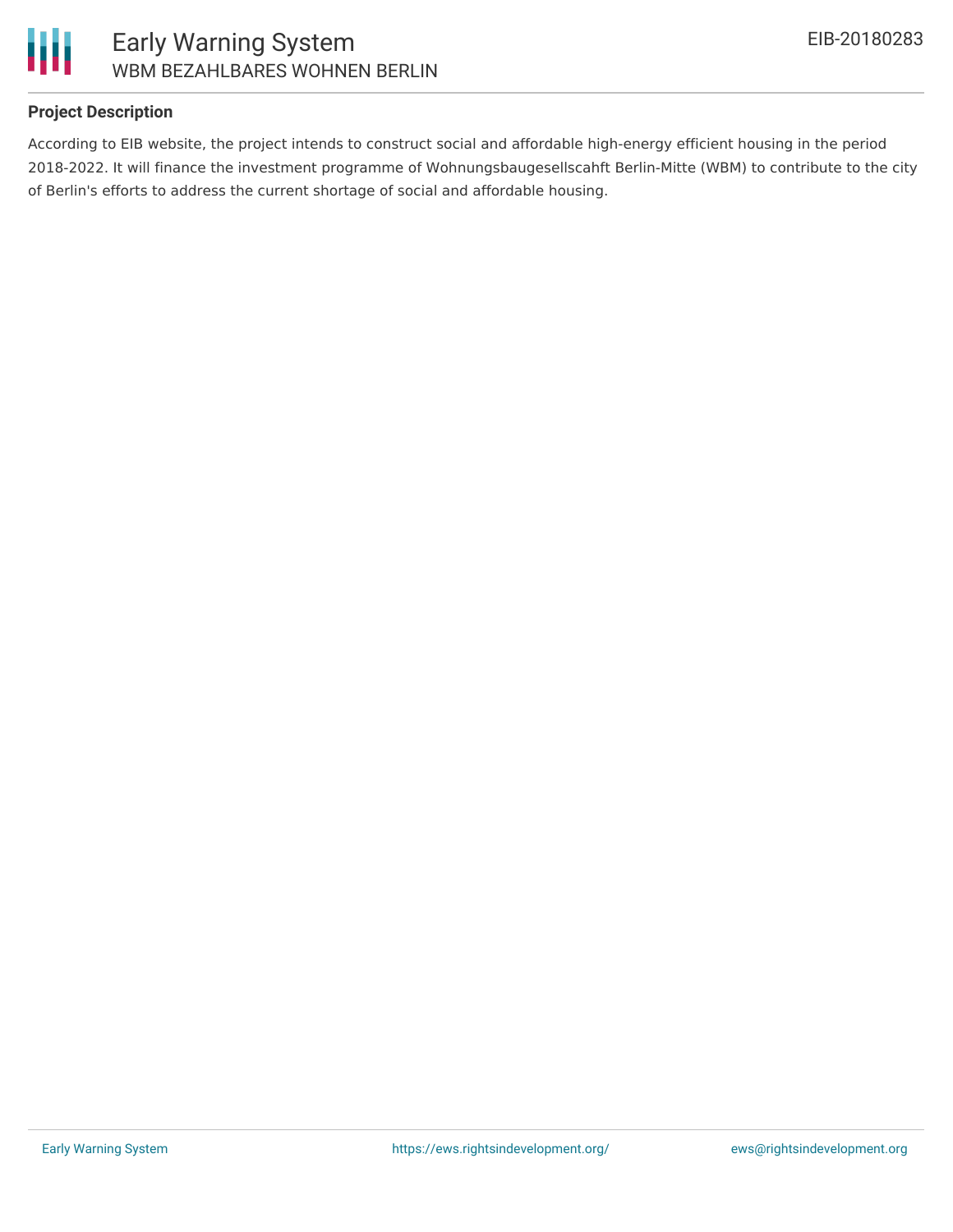

### Early Warning System WBM BEZAHLBARES WOHNEN BERLIN

### **Project Description**

According to EIB website, the project intends to construct social and affordable high-energy efficient housing in the period 2018-2022. It will finance the investment programme of Wohnungsbaugesellscahft Berlin-Mitte (WBM) to contribute to the city of Berlin's efforts to address the current shortage of social and affordable housing.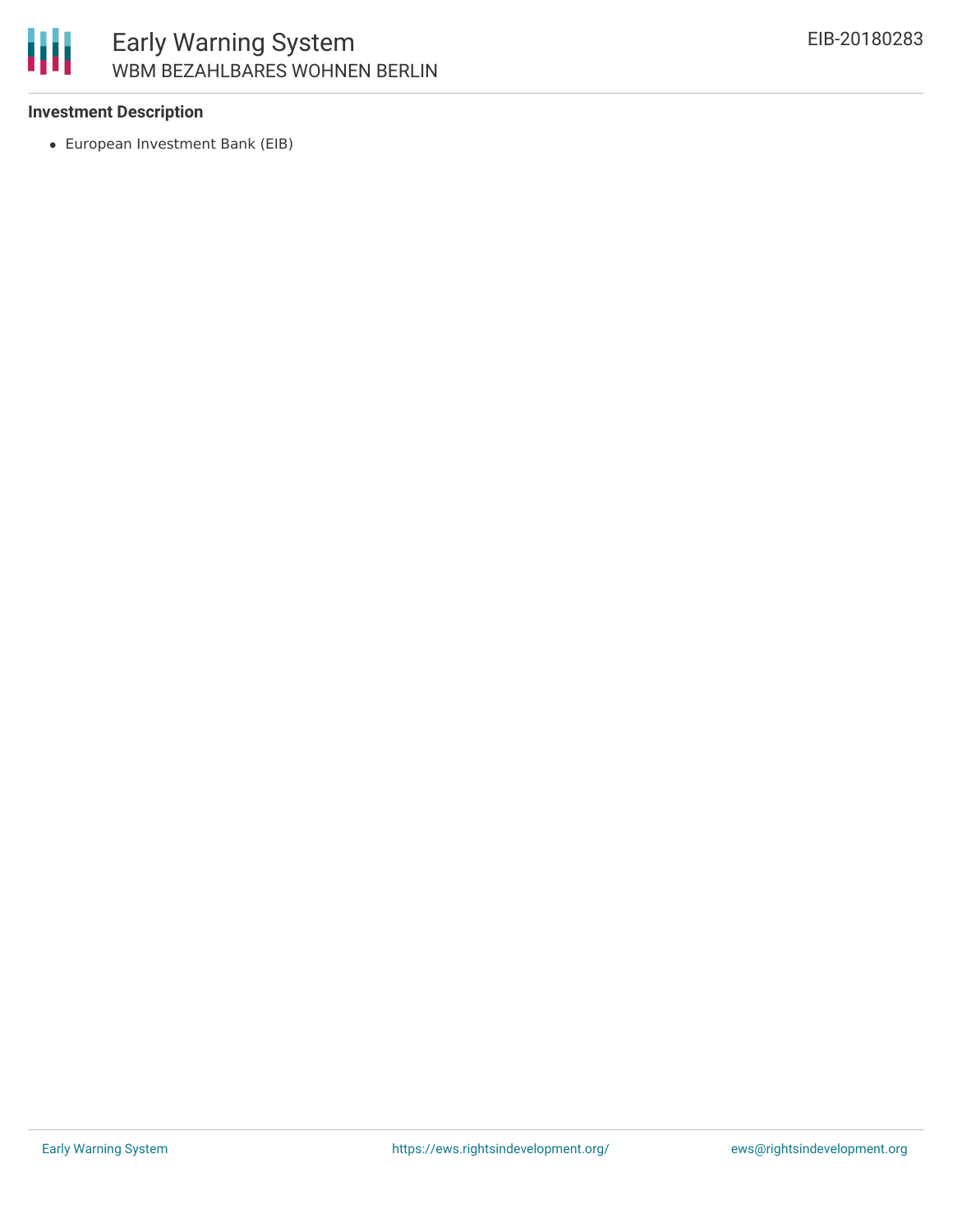

## Early Warning System WBM BEZAHLBARES WOHNEN BERLIN

### **Investment Description**

European Investment Bank (EIB)